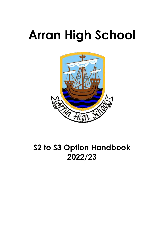# **Arran High School**



# **S2 to S3 Option Handbook 2022/23**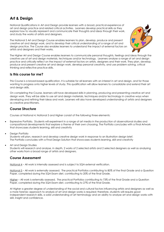# **Art & Design**

National Qualifications in Art and Design provide learners with a broad, practical experience of art and design practice and related critical activities. Learners develop practical skills as they explore how to visually represent and communicate their thoughts and ideas through their work, and study the works of artists and designers.

The National 5 Art and Design Course enables learners to plan, develop, produce and present creative art and design work, and to develop their critical understanding of a range of art and design practice. The Course also enables learners to understand the impact of external factors on artists and designers and their works.



The Higher Art and Design Course enables learners to communicate personal thoughts, feelings and ideas through the creative use of art and design materials, techniques and/or technology. Learners analyse a range of art and design practice and critically reflect on the impact of external factors on artists, designers and their work. They plan, develop, produce and present creative art and design work, develop personal creativity, and use problem solving, critical thinking and reflective practice skills.

#### **Is this course for me?**

This Course is a broad-based qualification. It is suitable for all learners with an interest in art and design, and for those wanting to progress onto higher levels of study. This qualification will allow learners to consolidate and extend their art and design skills.

On completing the Course, learners will have developed skills in planning, producing and presenting creative art and design work. They will be able to use art and design materials, techniques and/or technology in creative ways when developing and refining their ideas and work. Learners will also have developed understanding of artists and designers as creative practitioners.

#### **Course Structure**

Courses at National 4, National 5 and Higher consist of the following three elements:

- Expressive Portfolio. Students will experiment in a range of art media in the production of observational studies and compositional developments that explore a theme of their own choosing. The Portfolio concludes with a Final Artwork that showcases students learning, skill and creativity
- Design Portfolio

Students will plan, research and develop creative design work in response to an illustration design brief. The Portfolio concludes with a Final Design Solution that showcases students learning, skill and creativity

Art and Design Studies

Students will research and analyse, in depth, 2 works of 2 selected artists and 2 selected designers as well as analysing other works from a broad range of artists and designers.

#### **Course Assessment**

National 4 – All work is internally assessed and is subject to SQA external verification.

National 5 – All work is externally assessed. The practical Portfolios contributing to 80% of the final Grade and a Question Paper, completed during the SQA Exam diet, contributing to 20% of the final Grade.

Higher – All work is externally assessed. The practical Portfolios contributing to 73% of the final Grade and a Question Paper, completed during the SQA Exam diet, contributing to 27% of the final Grade.

At Higher a greater degree of understanding of the social and cultural factors influencing artists and designers as well as a more forensic approach to analysis of art and design works is required; therefore, students will require good independent research skills, a solid understanding of art terminology and an ability to analyse art and design works with skill, insight and confidence.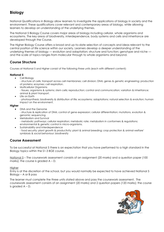# **Biology**

National Qualifications in Biology allow learners to investigate the applications of biology in society and the environment. These qualifications cover relevant and contemporary areas of biology, while allowing learners to develop an understanding of the underlying themes.

The National 5 Biology Course covers major areas of biology including cellular, whole organisms and ecosystems. The key areas of biodiversity, interdependence, body systems and cells and inheritance are developed through the Course.

The Higher Biology Course offers a broad and up-to-date selection of concepts and ideas relevant to the central position of life science within our society. Learners develop a deeper understanding of the underlying themes of biology — evolution and adaptation; structure and function; genotype and niche and the scale of topics ranges from molecular through to whole organisms and beyond.

#### **Course Structure**

Courses at National 5 and Higher consist of the following three units (each with different content):

#### **National 5**

- Cell Biology
- structure of cells; transport across cell membranes; cell division; DNA; genes & genetic engineering; production of proteins; enzymes; cell respiration.
- Multicellular Organisms - tissues, organisms & systems; stem cells; reproduction; control and communication; variation & inheritance; animal & plant transport.
- Life on Earth - photosynthesis; biodiversity & distribution of life; ecosystems; adaptations; natural selection & evolution; human impact on the environment.

#### **Higher**

- DNA and the Genome
- structure & replication of DNA; control of gene expression; cellular differentiation; mutations, evolution & genomic sequencing
- Metabolism and Survival - metabolic pathways; cellular respiration; metabolic rate; metabolism in conformers & regulations; environmental & genetic control in micro-organisms.
- Sustainability and Interdependence - food security; plant growth & productivity; plant & animal breeding; crop protection & animal welfare' symbiosis & social behaviour; biodiversity

### **Course Assessment**

To be successful at National 5 there is an expectation that you have performed to a high standard in the Biology topics within the S1-3 BGE course.

National 5 – The coursework assessment consists of an assignment (20 marks) and a question paper (100 marks); the course is graded  $A - D$ .

#### **Higher**

Entry is at the discretion of the school, but you would normally be expected to have achieved National 5 Biology – A or B pass

The learner must complete the three units stated above and pass the coursework assessment. The coursework assessment consists of an assignment (20 marks) and 2 question papers (120 marks); the course is graded A – D.

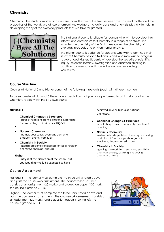# **Chemistry**

Chemistry is the study of matter and its interactions. It explains the links between the nature of matter and the properties of the world. We all use chemical knowledge on a daily basis and chemists play a vital role in developing many of the everyday products that we take for granted.



The National 5 course is suitable for learners who wish to develop their interest and enthusiasm for Chemistry in a range of contexts. This includes the chemistry of the Earth's resources, the chemistry of everyday products and environmental analysis.

The Higher course is designed for students who wish to continue their study of Chemistry beyond National 5 and who may wish to progress to Advanced Higher. Students will develop the key skills of scientific inquiry, scientific literacy, investigation and analytical thinking in addition to an enhanced knowledge and understanding of Chemistry.

#### **Course Structure**

Courses at National 5 and Higher consist of the following three units (each with different content):

To be successful at National 5 there is an expectation that you have performed to a high standard in the Chemistry topics within the S1-3 BGE course.

#### **National 5**

#### **Chemical Changes & Structures**

- rates of reaction; atomic structure & bonding; formula writing; acids& bases. **Higher**

- $\bullet$
- **Nature's Chemistry** - homologous series; everyday consumer products; energy from fuels.
- **Chemistry in Society** - metals; properties of plastics; fertilisers; nuclear chemistry; chemical analysis.

#### **Higher**

Entry is at the discretion of the school, but you would normally be expected to have

#### **Course Assessment**

National 5 – The learner must complete the three units stated above and pass the coursework assessment. The coursework assessment consists of an assignment (20 marks) and a question paper (100 marks); the course is graded  $A - D$ .

Higher – The learner must complete the three units stated above and pass the coursework assessment. The coursework assessment consists of an assignment (20 marks) and 2 question papers (120 marks); the course is graded A – D.

achieved an A or B pass at National 5 Chemistry.

- **Chemical Changes & Structures** - controlling the rate; periodicity; structure & bonding.
- **Nature's Chemistry** - esters; fats; oils; proteins; chemistry of cooking; oxidation of food; soaps; detergents & emulsions; fragrances; skin care.
- **Chemistry in Society** - getting the most from reactants; equilibria; chemical energy; oxidising & reducing; chemical analysis

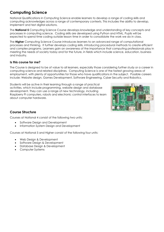# **Computing Science**

National Qualifications in Computing Science enable learners to develop a range of coding skills and computing acknowledges across a range of contemporary contexts. This includes the ability to develop, implement and test digital solutions.

The **National 5** Computing Science Course develops knowledge and understanding of key concepts and processes in computing science. Coding skills are developed using Python and HTML. Pupils will be expected to spend time coding outside lesson time in order to consolidate the work we do in class.

The **Higher** Computing Science Course introduces learners to an advanced range of computational processes and thinking. It further develops coding skills, introducing procedural methods to create efficient and complex programs. Learners gain an awareness of the importance that computing professionals play in meeting the needs of society today and for the future, in fields which include science, education, business and industry.

#### **Is this course for me?**

The Course is designed to be of value to all learners, especially those considering further study or a career in computing science and related disciplines. Computing Science is one of the fastest growing areas of employment, with plenty of opportunities for those who have qualifications in the subject. Possible careers include: Website design, Games Development, Software Engineering, Cyber Security and Robotics.

Students will be active in their learning through a range of practical activities, which include programming, website design and database development. They can use a range of new technology, including Raspberry Pi computers, robots and electronic control interfaces to learn about computer hardware.



#### **Course Structure**

Courses at National 4 consist of the following two units:

- Software Design and Development
- Information System Design and Development

Courses at National 5 and Higher consist of the following four units:

- Web Design & Development
- Software Design & Development
- Database Design & Development
- Computer Systems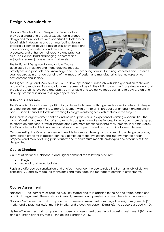# **Design & Manufacture**

National Qualifications in Design and Manufacture provide a broad and practical experience in product design and manufacture, with opportunities for learners to gain skills in designing and communicating design proposals. Learners develop design skills, knowledge and understanding of materials and manufacturing processes, and enhance their creative and practical skills. The Courses build challenging, coherent and enjoyable learner journeys through all levels.

The National 5 Design and Manufacture Course develops skills in design and manufacturing models,



prototypes and products, and knowledge and understanding of manufacturing processes and materials. Learners also gain an understanding of the impact of design and manufacturing technologies on our environment and society.

The Higher Design and Manufacture Course develops learners' research skills, idea generation techniques, and ability to read drawings and diagrams. Learners also gain the ability to communicate design ideas and practical details, to evaluate and apply both tangible and subjective feedback, and to devise, plan and develop practical solutions to design opportunities.

#### **Is this course for me?**

This Course is a broad-based qualification, suitable for learners with a general or specific interest in design and technology generally. It is suitable for learners with an interest in product design and manufacture in particular and is suitable for those wanting to progress onto higher levels of study in the subject.

The Course is largely learner-centred and includes practical and experiential learning opportunities. The world of design and manufacturing covers a broad spectrum of experiences. Some products are designed to create an emotional or visual impact; others are more functional in their requirements. These facts allow the Course to be flexible in nature and allow scope for personalisation and choice for each learner.

On completing the Course, learners will be able to: create, develop and communicate design proposals; solve design problems in applied contexts; contribute to the evaluation and improvement of design proposals and manufacturing practicalities; and manufacture models, prototypes and products of their design ideas.

#### **Course Structure**

Courses at National 4, National 5 and Higher consist of the following two units:

- Design
- Materials and Manufacturing

Pupils are afforded personalisation and choice throughout the course selecting from a variety of design principles, 2D and 3D modelling techniques and manufacturing methods to complete assignments.

#### **Course Assessment**

National 4 – The learner must pass the two units stated above in addition to the Added Value design and practical assignment. These units are internally assessed on a pass/fail basis and there is no final exam.

National 5 – The learner must complete the coursework assessment consisting of a design assignments (55 marks) and a practical assignment (45marks) and a question paper (80 marks); the course is graded A – D.

Higher – The learner must complete the coursework assessment consisting of a design assignment (90 marks) and a question paper (80 marks); the course is graded A – D.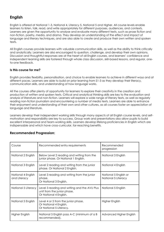# **English**

English is offered at National 1-3, National 4, Literacy 5, National 5 and Higher. All course levels enable learners to listen, talk, read, and write appropriately for different purposes, audiences, and contexts. Learners are given the opportunity to analyse and evaluate many different texts, such as prose fiction and non-fiction, poetry, media, and drama. They develop an understanding of the effect and impact of language and literary techniques, and are also able to create and produce their own written and spoken texts.

All English courses provide learners with valuable communication skills, as well as the ability to think critically and analytically. Learners are also encouraged to question, challenge, and develop their own opinions. Discussion and thoughtful responses are at the heart of all English courses, and learners' confidence and independent learning skills are fostered through whole class discussion, skill-based lessons, and regular, oneto-one feedback.

#### **Is this course for me?**

English provides flexibility, personalisation, and choice to enable learners to achieve in different ways and at different paces. Learners are able to build on prior learning from S1-3 as they develop their literacy, communication skills, and understanding of how language works.

All the courses offer plenty of opportunity for learners to explore their creativity in the creation and production of written and spoken texts. Critical and analytical thinking skills are key to the evaluation and analysis of literature and non-fiction. Learners will explore a wide range of literary texts, as well as regularly reading non-fiction journalism and encountering a number of media texts. Learners are able to enhance their enjoyment and understanding of their own and other cultures, as all courses foster an appreciation of language and literature.

Learners develop their independent working skills through many aspects of all English course levels, and selfmotivation and responsibility are key to success. Group work and presentations also allow pupils to build excellent interpersonal and team-working skills. Learners develop lifelong proficiencies in English which are indispensable and which have cross-curricular, far-reaching benefits.

| Course                             | Recommended entry requirements                                                                        | Recommended<br>progression                   |
|------------------------------------|-------------------------------------------------------------------------------------------------------|----------------------------------------------|
| National 2 English                 | Below Level 2 reading and writing from the<br>junior phase. Or National 1 English.                    | National 3 English                           |
| National 3 English                 | Level 2 reading and writing from the junior<br>phase. Or National 2 English.                          | National 4 English                           |
| National 4 English<br>and Literacy | Level 3 reading and writing from the junior<br>phase.<br>Or National 3 English.                       | National 5 English or<br>National 5 Literacy |
| National 5 Literacy                | Level 3 reading and writing and the AVU Plus<br>unit from the junior phase.<br>Or National 4 English. | National 5 English                           |
| National 5 English                 | Level 4 or 5 from the junior phase.<br>Or National 4 English.<br>Or National 5 Literacy.              | <b>Higher English</b>                        |
| Higher English                     | National 5 English pass A-C (minimum of a B<br>recommended).                                          | Advanced Higher English                      |

#### **Recommended Progression:**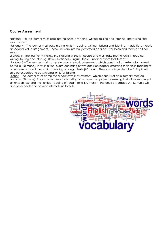#### **Course Assessment**

National 1-3: The learner must pass internal units in reading, writing, talking and listening. There is no final examination.

National 4 – The learner must pass internal units in reading, writing, talking and listening. In addition, there is an Added Value assignment. These units are internally assessed on a pass/fail basis and there is no final exam.

Literacy 5 - The learner will follow the National 5 English course and must pass internal units in reading, writing, talking and listening. Unlike, National 5 English, there is no final exam for Literacy 5.

National 5 – The learner must complete a coursework assessment, which consists of an externally marked portfolio (30 marks). They sit a final exam consisting of two question papers, assessing their close reading of an unseen text and their critical reading of taught texts (70 marks). The course is graded A – D. Pupils will also be expected to pass internal units for talking.

Higher – The learner must complete a coursework assessment, which consists of an externally marked portfolio (30 marks). They sit a final exam consisting of two question papers, assessing their close reading of an unseen text and their critical reading of taught texts (70 marks). The course is graded A – D. Pupils will also be expected to pass an internal unit for talk.

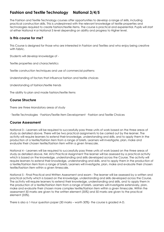# **Fashion and Textile Technology National 3/4/5**

The Fashion and Textile Technology courses offer opportunities to develop a range of skills, including practical construction skills. This is underpinned with the relevant knowledge of textile properties and technologies required to create fashion/textile items. The course is practical and experiential. Pupils will start at either National 4 or National 5 level depending on ability and progress to Higher level.

#### **Is this course for me?**

This Course is designed for those who are interested in Fashion and Textiles and who enjoy being creative with fabric.

Students will develop knowledge of -

Textile properties and characteristics

Textile construction techniques and use of commercial patterns

Understanding of factors that influence fashion and textile choices

Understanding of fashion/textile trends

The ability to plan and made fashion/textile items

#### **Course Structure**

There are three Mandatory areas of study

· Textile Technologies · Fashion/Textile Item Development · Fashion and Textile Choices

#### **Course Assessment**

National 3 – Learners will be required to successfully pass three units of work based on the three areas of study as detailed above. There will be two practical assignments to be carried out by the learner. The activity will require learners to extend their knowledge, understanding and skills, and to apply them in the production of a textile/fashion item from a range of briefs. Learners will investigate, plan, make and evaluate their chosen textile/fashion item within a given timescale.

National 4 – Learners will be required to successfully pass three units of work based on the three areas of study as detailed above. N4: AVU Practical Assignment The learner will be assessed by a practical activity which is based on the knowledge, understanding and skills developed across the Course. The activity will require learners to extend their knowledge, understanding and skills, and to apply them in the production of a textile/fashion item from a range of briefs. Learners will investigate, plan, make and evaluate their chosen textile/fashion item within a given timescale.

National 5 - Final Practical and Written Assessment and exam - The learner will be assessed by a written and practical activity which is based on the knowledge, understanding and skills developed across the Course. The activity will require learners to extend their knowledge, understanding and skills, and to apply them in the production of a textile/fashion item from a range of briefs. Learners will investigate extensively, plan, make and evaluate their chosen more complex textile/fashion item within a given timescale. Within the assessment 50 marks are given to the written element (35%) and 50 marks are given to the practical element (35%).

There is also a 1-hour question paper (30 marks – worth 30%)- the course is graded A-D.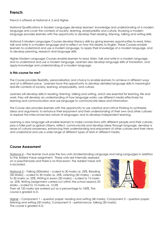# **French**

French is offered at National 4, 5 and Higher.

National Qualifications in Modern Languages develop learners' knowledge and understanding of a modern language and cover the contexts of society, learning, employability and culture. Studying a modern language provides learners with the opportunity to develop their reading, listening, talking and writing skills.

National 5 Modern Languages Courses develop literacy skills by giving learners opportunities to read, listen, talk and write in a modern language and to reflect on how this relates to English. These Courses enable learners to understand and use a modern language, to apply their knowledge of a modern language, and to develop planning, research and language skills.

Higher Modern Languages Courses enable learners to read, listen, talk and write in a modern language, and to understand and use a modern language. Learners also develop language skills of translation, and apply knowledge and understanding of a modern language.

#### **Is this course for me?**

The Course provides flexibility, personalisation and choice to enable learners to achieve in different ways and at a different pace. Learners have the opportunity to develop detailed language skills in meaningful real-life contexts of society, learning, employability, and culture.

Learners will develop skills in reading, listening, talking and writing, which are essential for learning, life and work; they will develop an understanding of how language works, use different media effectively for learning and communication and use language to communicate ideas and information.

The Course also provides learners with the opportunity to use creative and critical thinking to synthesise ideas and arguments; to enhance their enjoyment and their understanding of their own and other cultures; to explore the interconnected nature of languages; and to develop independent learning.

Learning a new language will enable learners to make connections with different people and their cultures, play a fuller part as global citizens, reflect, communicate and develop ideas through language, develop a sense of cultural awareness, enhancing their understanding and enjoyment of other cultures and their views and understand and use a wide range of different types of texts in different media.

#### **Course Assessment**

National 4 – The learner must pass the two units (Understanding Language and Using Language) in addition to the Added Value assignment. These units are internally assessed

on a pass/fail basis and there is no final exam. The Added Value Unit is recorded.

National 5 – Talking (30Marks) – scaled to 30 marks i.e. 25%, Reading (30 Marks) – scaled to 30 marks i.e. 25%, Listening (20 marks) – scaled to 30 marks i.e. 25%, Writing in exam (20 marks) – scaled to 15 marks i.e. 25%, Writing (assignment carried out within the school session) 20 Marks – scaled to 15 marks i.e. 12.5%

Then all 120 marks are worked out as a percentage to 100%. The course is graded A-D.



Higher – Component 1 – question paper: reading and writing (40 marks), Component 2 – question paper: listening and writing (30 marks), Component 3 – performance: talking (30 marks). The course is graded A-D.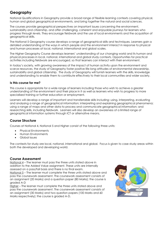# **Geography**

National Qualifications in Geography provide a broad range of flexible learning contexts covering physical, human and global geographical environments, and bring together the natural and social sciences.

The courses provide geographical perspectives on important issues concerning the environment, sustainability and citizenship, and offer challenging, coherent and enjoyable journeys for learners who progress through levels. They encourage fieldwork and the use of local environments and the acquisition of geographical skills.

The National 5 Geography course develops a range of geographical skills and techniques. Learners gain a detailed understanding of the ways in which people and the environment interact in response to physical and human processes at local, national, international and global scales.

The Higher Geography Course develops learners' understanding of our changing world and its human and physical processes in local, national, international and global study contexts. Opportunities for practical activities including fieldwork are encouraged, so that learners can interact with their environment.

In today's society, with growing awareness of the impact of human activity upon the environment and scarce resources, the study of Geography foster positive life-long attitudes of environmental stewardship, sustainability and global citizenship. The study of Geography will furnish learners with the skills, knowledge and understanding to enable them to contribute effectively to their local communities and wider society.

#### **Is this course for me?**

This course is appropriate for a wide range of learners including those who wish to achieve a greater understanding of the environment and their place in it as well as learners who wish to progress to more specialised training or further education or employment.

Learners will develop a range of important and transferrable skills including: using, interpreting, evaluating and analysing a range of geographical information; interpreting and explaining geographical phenomena; using a range of maps and other data to process and communicate geographical information; and researching skills, including fieldwork. Learners will also develop an awareness of a limited range of geographical information systems through ICT or alternative means.

#### **Course Structure**

Courses at National 4, National 5 and Higher consist of the following three units:

- Physical Environments
- Human Environments
- Global Issues

The contexts for study are local, national, international and global. Focus is given to case study areas within both the developed and developing world.

#### **Course Assessment**

National 4 – The learner must pass the three units stated above in addition to the Added Value assignment. These units are internally assessed on a pass/fail basis and there is no final exam.

National 5 – The learner must complete the three units stated above and pass the coursework assessment. The coursework assessment consists of an assignment (20 Marks) and a question paper (80 Marks); the course is graded A-D

Higher – The learner must complete the three units stated above and pass the coursework assessment. The coursework assessment consists of an assignment (30 Marks) and two question papers (100 Marks and 60 Marks respectively); the course is graded A-D.

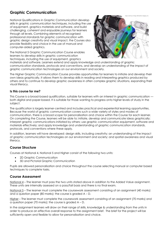# **Graphic Communication**

National Qualifications in Graphic Communication develop skills in graphic communication techniques, including the use of equipment, graphics materials and software, and build challenging, coherent and enjoyable journeys for learners through all levels. Combining elements of recognised professional standards for graphic communication with graphic design creativity and visual impact, the Courses also provide flexibility and choice in the use of manual and computer-aided graphics.

The National 5 Graphic Communication Course enables learners to develop skills in graphic communication techniques, including the use of equipment, graphics



materials and software. Learners extend and apply knowledge and understanding of graphic communication standards, protocols and conventions, and develop an understanding of the impact of graphic communication technologies on our environment and society.

The Higher Graphic Communication Course provides opportunities for learners to initiate and develop their own ideas graphically. It allows them to develop skills in reading and interpreting graphics produced by others and to continue to develop graphic awareness in often complex graphic situations, expanding their visual literacy.

#### **Is this course for me?**

This Course is a broad-based qualification, suitable for learners with an interest in graphic communication both digital and paper-based. It is suitable for those wanting to progress onto higher levels of study in the subject.

The qualification is largely learner-centred and includes practical and experiential learning opportunities. Because the world of graphic communication covers such a wide variety of styles and modes of communication, there is a broad scope for personalisation and choice within the Course for each learner. On completing the Course, learners will be able to: initiate, develop and communicate ideas graphically; interpret graphic communications initiated by others; use graphic communication equipment, software and materials effectively; and apply knowledge and understanding of graphic communication standards, protocols, and conventions where these apply.

In addition, learners will have developed: design skills, including creativity; an understanding of the impact of graphic communication technologies on our environment and society; and spatial awareness and visual literacy.

#### **Course Structure**

Courses at National 4, National 5 and Higher consist of the following two units:

- 2D Graphic Communication
- 3D and Pictorial Graphic Communication

Pupils are allowed personalisation and choice throughout the course selecting manual or computer based techniques to complete tasks.

#### **Course Assessment**

National 4 – The learner must pass the two units stated above in addition to the Added Value assignment. These units are internally assessed on a pass/fail basis and there is no final exam.

National 5 – The learner must complete the coursework assessment consisting of an assignment (40 marks) and a question paper (80 marks); the course is graded  $A - D$ .

Higher – The learner must complete the coursework assessment consisting of an assignment (70 marks) and a question paper (70 marks); the course is graded A – D.

In the assignment learners will draw on their range of skills, knowledge & understanding from the units in order to produce an effective overall response to the assignment brief. The brief for the project will be sufficiently open and flexible to allow for personalisation and choice.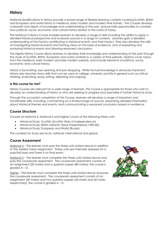# **History**

National Qualifications in History provide a broad range of flexible learning contexts covering Scottish, British and European and world history in medieval, early modern and modern time frames. The Courses develop a breadth and depth of knowledge and understanding of the past, and provide opportunities to consider how political, social, economic and cultural history relates to the world of today.

The National 5 History Course enables learners to develop a range of skills including the ability to apply a detailed historical perspective and evaluate sources in a range of contexts. Learners gain a detailed understanding of the factors contributing to historical events, and their impact. They also develop the skills of investigating historical events and forming views on the basis of evidence, and of explaining and analysing historical events and drawing reasoned conclusions.

The Higher History Course allows learners to develop their knowledge and understanding of the past through the study of Scottish, British, European and world contexts in a variety of time periods. Options cover topics from the medieval, early modern and later modern periods, and include elements of political, social, economic and cultural history.

History is fascinating, eye-opening and jaw-dropping. While factual knowledge is obviously important, History also teaches many skills that can be used at college, university and life in general such as critical thinking, evaluating, essay writing, debating and arguing.

#### **Is this course for me?**

History Courses are relevant for a wide range of learners. This Course is appropriate for those who wish to develop an understanding of history or who are seeking to progress and specialise in further historical study.

Through the successful completion of this Course, learners will develop a range of important and transferable skills, including: commenting on a limited range of sources; presenting detailed information about historical themes and events; and communicating a reasoned conclusion based on evidence.

#### **Course Structure**

Courses at National 4, National 5 and Higher consist of the following three units:

- Historical Study: Scottish (Scottish Wars of Independence)
- Historical Study: British (Atlantic Slave Trade/Ireland 1900-85)
- Historical Study: European and World (Russia)

The contexts for study are local, national, international and global.

#### **Course Assessment**

National 4 – The learner must pass the three units stated above in addition to the Added Value assignment. These units are internally assessed on a pass/fail basis and there is no final exam.

National 5 – The learner must complete the three units stated above and pass the coursework assessment. The coursework assessment consists of an assignment (20 marks) and a question paper (80 marks); the course is graded A – D.

Higher – The learner must complete the three units stated above and pass the coursework assessment. The coursework assessment consists of an assignment (30 marks) and two question papers (44 marks and 36 marks respectively); the course is graded A – D.

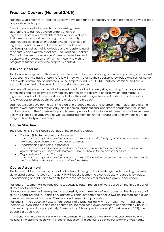# **Practical Cookery (National 3/4/5)**

National Qualifications in Practical Cookery develop a range of cookery skills and processes, as well as food preparation techniques.

Planning and producing meals and presenting them appropriately, learners develop understanding of ingredients from a variety of different sources, as well as of their uses and responsible sourcing and sustainability. Learners also develop an understanding of the choice of ingredients and the impact these have on health and wellbeing, as well as their knowledge and understanding of food safety and hygiene practices. The Practical Cookery Course further enhances learners' personal effectiveness in cookery and provides a set of skills for those who wish to progress to further study in the hospitality context.



#### **Is this course for me?**

This Course is designed for those who are interested in food and cooking and who enjoy being creative with food. Learners who have chosen to follow it may wish to utilise their cookery knowledge and skills at home, in the wider community or, ultimately, in the hospitality industry. It is NOT entirely practical, and has a substantial element of theory which is important to consider.

Learners will develop a range of both generic and practical cookery skills, including food preparation techniques and the ability to follow cookery processes; the ability to choose, weigh and measure ingredients and calculate proportions, calculate the cost of ingredients and portions; and the ability to follow recipes to produce dishes, and to evaluate the product.

Learners will also develop the ability to plan and produce meals and to present them appropriately; the ability to work safely and hygienically; and planning, organisational and time management skills in the cookery context. The Course will support learners' personal and social development and will serve them very well in their everyday lives, as well as preparing them for further training and employment in a wide range of hospitality-related areas.

#### **Course Structure**

The National 3, 4 and 5 course consists of the following 3 areas:

- Cookery Skills, Techniques and Processes Learners will be required to provide evidence of their: cookery skills, food preparation techniques and ability to *follow cookery processes in the preparation of dishes.*
- Understanding and Using Ingredients Learners will be required to provide evidence of their ability to: apply their understanding of a range of *ingredients and select appropriate ingredients and use them in the preparation of dishes.*
- Organisational Skills for Cooking Learners will be required to provide evidence of their ability to: follow recipes and implement a time plan to *produce dishes and carry out an evaluation of the dishes.*

#### **Course Assessment**

The learner will be assessed by a practical activity drawing on the knowledge, understanding and skills developed across the Course. The activity will require learners to extend cookery-related knowledge, understanding and skills, and to apply them in the production of a meal to a given specification.

National 3 – Learners will be required to successfully pass three units of work based on the three areas of study as detailed above.

National 4 – Learners will be required to successfully pass three units of work based on the three areas of study as detailed above. In addition, learners will plan, prepare and cook a two-course meal for a given number of people within 1 hour 30 minutes and present it appropriately.

National 5 – The coursework assessment consists of a practical activity (100 marks – worth 75%) where learners will plan, prepare and cook a three course meal for a given number of people within 2 hours 30 minutes and present it appropriately. There is also a 1 hour question paper (30 marks – worth 25%); the course is graded A-D.

It is important to note that the National 4 unit assessments are undertaken with *minimal* teacher guidance and at National 5 the assessments are with *no* teacher guidance. All areas must be carried out safely and hygienically.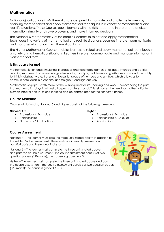# **Mathematics**

National Qualifications in Mathematics are designed to motivate and challenge learners by enabling them to select and apply mathematical techniques in a variety of mathematical and real-life situations. These Courses equip learners with the skills needed to interpret and analyse information, simplify and solve problems, and make informed decisions.

The National 5 Mathematics Course enables learners to select and apply mathematical techniques in a variety of mathematical and real-life situations. Learners interpret, communicate and manage information in mathematical form.

The Higher Mathematics Course enables learners to select and apply mathematical techniques in a variety of mathematical situations. Learners interpret, communicate and manage information in mathematical form.

#### **Is this course for me?**

Mathematics is rich and stimulating. It engages and fascinates learners of all ages, interests and abilities. Learning mathematics develops logical reasoning, analysis, problem-solving skills, creativity, and the ability to think in abstract ways. It uses a universal language of numbers and symbols, which allows us to communicate ideas in a concise, unambiguous and rigorous way.

Mathematics equips us with many of the skills required for life, learning and work. Understanding the part that mathematics plays in almost all aspects of life is crucial. This reinforces the need for mathematics to play an integral part in lifelong learning and be appreciated for the richness it brings.

#### **Course Structure**

Courses at National 4, National 5 and Higher consist of the following three units:

#### **National 4/5**

- Expressions & Formulae
- Relationships
- Numeracy / Applications

#### **Higher**

- Expressions & Formulae
- Relationships & Calculus
- **Applications**

#### **Course Assessment**

National 4 – The learner must pass the three units stated above in addition to the Added Value assessment. These units are internally assessed on a pass/fail basis and there is no final exam.

National 5 – The learner must complete the three units stated above and pass the course assessment. The course assessment consists of two question papers (110 marks); the course is graded A – D.

Higher – The learner must complete the three units stated above and pass the course assessment. The course assessment consists of two question p[apers](http://www.google.co.uk/url?sa=i&rct=j&q=&esrc=s&source=images&cd=&cad=rja&uact=8&ved=0ahUKEwi0t53OqYHSAhWI7BQKHYVQBE0QjRwIBw&url=http://cliparting.com/free-math-clipart-3937/&bvm=bv.146496531,d.ZGg&psig=AFQjCNF9rs8tivN_QfZ5OqFKtI0aBCmrHg&ust=1486671506821779)  (130 marks); the course is graded A – D.

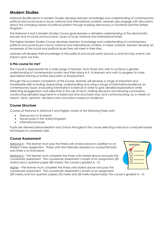# **Modern Studies**

National Qualifications in Modern Studies develop learners' knowledge and understanding of contemporary political and social issues in local, national and international contexts. Learners also engage with discussions about the changing nature of political systems through studying democracy in Scotland and the United Kingdom.

The National 4 and 5 Modern Studies Course gives learners a detailed understanding of the democratic process and of social and economic issues at local, national and international levels.

The Higher Modern Studies Course develops learners' knowledge and understanding of contemporary political and social issues in local, national and international contexts. In these contexts, learners develop an awareness of the social and political issues they will meet in their lives.

Learners will develop their knowledge of the political and social world around us and how key events can impact upon our lives.

#### **Is this course for me?**

The Course is appropriate for a wide range of learners, from those who wish to achieve a greater understanding of contemporary society and their place in it, to learners who wish to progress to more specialised training or further education or employment.

Through the successful completion of this Course, learners will develop a range of important and transferable skills including: researching, understanding and using a range of information/evidence on contemporary issues; evaluating information/ evidence in order to give detailed explanations while detecting exaggeration and selectivity in the use of facts; making decisions and drawing conclusions; constructing detailed arguments in a balanced and structured way; and communicating, by a variety of means, views, opinions, decisions and conclusions based on evidence.

#### **Course Structure**

Courses at National 4, National 5 and Higher consist of the following three units:

- Democracy in Scotland
- Social Issues in the United Kingdom
- International Issues

Pupils are allowed personalisation and choice throughout the course selecting manual or computer based techniques to complete tasks.

#### **Course Assessment**

National 4 – The learner must pass the three units stated above in addition to an Added Value assignment. These units are internally assessed on a pass/fail basis and there is no final exam.

National 5 – The learner must complete the three units stated above and pass the coursework assessment. The coursework assessment consists of an assignment (20 marks) and a question paper (80 marks); the course is graded A – D.

Higher – The learner must complete the three units stated above and pass the

coursework assessment. The coursework assessment consists of an assignment (30 marks) and two question papers (52 marks and 28 marks respectively); the course is graded A – D.

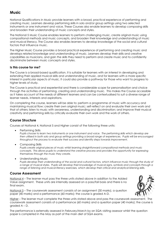# **Music**

National Qualifications in Music provide learners with a broad, practical experience of performing and creating music. Learners develop performing skills in solo and/or group settings using two selected instruments or one instrument and voice. These Courses also enable learners to develop composing skills and broaden their understanding of music concepts and styles.

The National 5 Music Course enables learners to perform challenging music, create original music using compositional methods and music concepts, and broaden their knowledge and understanding of music and musical literacy. The Course also enables learners to develop knowledge of the social and cultural factors that influence music.

The Higher Music Course provides a broad practical experience of performing and creating music and develops related knowledge and understanding of music. Learners develop their skills and creative capabilities as musicians, and gain the skills they need to perform and create music and to confidently discriminate between music concepts and styles.

#### **Is this course for me?**

The Course is a broad-based qualification. It is suitable for learners with an interest in developing and extending their applied musical skills and understanding of music, and for learners with a more specific interest in particular aspects of music. It could also provide a pathway for those who want to progress to higher levels of study.

The Course is practical and experiential and there is considerable scope for personalisation and choice through the activities of performing, creating and understanding music. This makes the Course accessible as it takes account of the needs of different learners and can be contextualised to suit a diverse range of learner needs, interests and aspirations.

On completing the course, learners will be able to: perform a programme of music with accuracy and maintaining musical flow; create their own original music; self-reflect on and evaluate their own work and that of others; listen to music with awareness, understanding and discrimination; and improve their musical creativity and performing skills by critically evaluate their own work and the work of others.

#### **Course Structure**

Courses at National 4, National 5 and Higher consist of the following three units:

Performing Skills

*Pupils choose to learn two instruments or one instrument and voice. The performing skills which develop are then utilised in both solo and group settings providing a broad range of experiences. Pupils will be encouraged throughout the process to evaluate their success and identify steps towards improvement.*

- Composing Skills *Pupils create original pieces of music whilst learning straightforward compositional methods and music concepts. This allows pupils to understand the creative process and provides the opportunity for expressing themselves through the music they create.*
- Understanding Music

*Pupils develop their understanding of the social and cultural factors, which influence music through the study of a range of musical styles. Pupils will develop their knowledge of musical signs, symbols and concepts through a range of listening and musical literacy exercises, which develop their critical and analytical listening skills.*

#### **Course Assessment**

National 4 – The learner must pass the three units stated above in addition to the Added Value assignment. These units are internally assessed on a pass/fail basis and there is no final exam.

National 5 – The coursework assessment consists of an assignment (30 marks), a question paper (40 marks) and a performance (60 marks); the course is graded A-D.

Higher – The learner must complete the three units stated above and pass the coursework assessment. The coursework assessment consists of a performance (60 marks) and a question paper (40 marks); the course is graded A – D.

The performance is externally assessed in February/March by an SQA visiting assessor whilst the question paper is completed in the May as part of the main diet of SQA exams.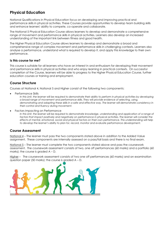# **Physical Education**

National Qualifications in Physical Education focus on developing and improving practical and performance skills in physical activities. These Courses provide opportunities to develop team building skills and enhance learners' ability to compete, co-operate and collaborate.

The National 5 Physical Education Course allows learners to develop and demonstrate a comprehensive range of movement and performance skills in physical activities. Learners also develop an increased understanding of the important link between fitness and good health.

The Higher Physical Education Course allows learners to develop and demonstrate a broad and comprehensive range of complex movement and performance skills in challenging contexts. Learners also analyse a performance, understand what is required to develop it, and apply this knowledge to their own performance.

#### **Is this course for me?**

This course is suitable for all learners who have an interest in and enthusiasm for developing their movement and performance skills in physical activities and who enjoy learning in practical contexts. On successful completion of the Course, learners will be able to progress to the Higher Physical Education Course, further education courses or training and employment.

#### **Course Structure**

Courses at National 4, National 5 and Higher consist of the following two components:

Performance Skills

In this Unit, the learner will be required to demonstrate their ability to perform in physical activities by developing *a broad range of movement and performance skills. They will provide evidence of selecting, using, demonstrating and adapting these skills in a safe and effective way. The learner will demonstrate consistency in their control and fluency during movement.*

Factors Impacting on Performance

*In this Unit, the learner will be required to demonstrate knowledge, understanding and application of a range of* factors that impact positively and negatively on performance in physical activities. The learner will consider the *effects of mental, emotional, social and physical factors on their own performance. This understanding will help to develop the learner's ability to plan for, record, monitor and evaluate performance development.*

#### **Course Assessment**

National 4 – The learner must pass the two components stated above in addition to the Added Value assignment. These components are internally assessed on a pass/fail basis and there is no final exam.

National 5 – The learner must complete the two components stated above and pass the coursework assessment. The coursework assessment consists of two, one off performances (60 marks) and a portfolio (60 marks); the course is graded  $A - D$ .

Higher - The coursework assessment consists of two one off performances (60 marks) and an examination question paper (50 marks); the course is graded  $A - D$ .

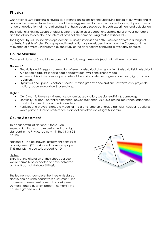# **Physics**

Our National Qualifications in Physics give learners an insight into the underlying nature of our world and its place in the universe. From the sources of the energy we use, to the exploration of space, Physics covers a range of applications of the relationships that have been discovered through experiment and calculation.

The National 5 Physics Course enables learners to develop a deeper understanding of physics concepts and the ability to describe and interpret physical phenomena using mathematical skills.

The Higher Physics Course develops learners' curiosity, interest and enthusiasm for physics in a range of contexts. The skills of scientific inquiry and investigation are developed throughout the Course, and the relevance of physics is highlighted by the study of the applications of physics in everyday contexts.

#### **Course Structure**

Courses at National 5 and Higher consist of the following three units (each with different content):

#### **National 5**

- Electricity and Energy conservation of energy; electrical charge carriers & electric fields; electrical & electronic circuits; specific heat capacity; gas laws & the kinetic model.
- Waves and Radiation wave parameters & behaviours; electromagnetic spectrum; light; nuclear radiation.
- Dynamics and Space vectors & scalars; motion graphs; acceleration; Newton's laws; projectile motion; space exploration & cosmology.

#### **Higher**

- Our Dynamic Universe kinematics; dynamics; gravitation; special relativity & cosmology.
- Electricity current; potential difference; power; resistance; AC; DC; internal resistance; capacitors; conductions; semiconductors & insulators.
- Particles and Waves standard model of the atom; force on charged particles; nuclear reactions; wave particle duality; interference & diffraction; refraction of light & spectra.

#### **Course Assessment**

To be successful at National 5 there is an expectation that you have performed to a high standard in the Physics topics within the S1-3 BGE course.

National 5 –The coursework assessment consists of an assignment (20 marks) and a question paper (135 marks); the course is graded  $A - D$ .

#### **Higher**

Entry is at the discretion of the school, but you would normally be expected to have achieved an A or B pass at National 5 Physics.

The learner must complete the three units stated above and pass the coursework assessment. The coursework assessment consists f an assignment 20 marks) and a question paper (135 marks); the course is graded A – D.

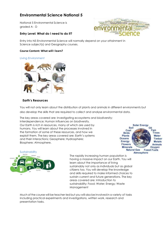# **Environmental Science National 5**

National 5 Environmental Science is graded A - D

#### **Entry Level: What do I need to do it?**



Entry into N5 Environmental Science will normally depend on your attainment in Science subject(s) and Geography courses.

#### **Course Content: What will I learn?**

#### Living Environment



#### **Earth's Resources**

You will not only learn about the distribution of plants and animals in different environments but also develop the skills that are required to collect and analyse environmental data.

The key areas covered are: Investigating ecosystems and biodiversity; Interdependence; Human influences on biodiversity. Our Earth is rich in resources, many of which are used by humans. You will learn about the processes involved in the formation of some of these resources, and how we exploit them. The key areas covered are: Earth's systems and their interactions; Geosphere; Hydrosphere; Biosphere; Atmosphere.





The rapidly increasing human population is having a massive impact on our Earth. You will learn about the importance of living sustainably not only as individuals but as global citizens too. You will develop the knowledge and skills required to make informed choices to sustain current and future generations. The key areas covered are: Introduction to sustainability; Food; Water; Energy; Waste Management

Much of the course will be teacher-led but you will also be involved in a variety of tasks including practical experiments and investigations, written work, research and presentation tasks.